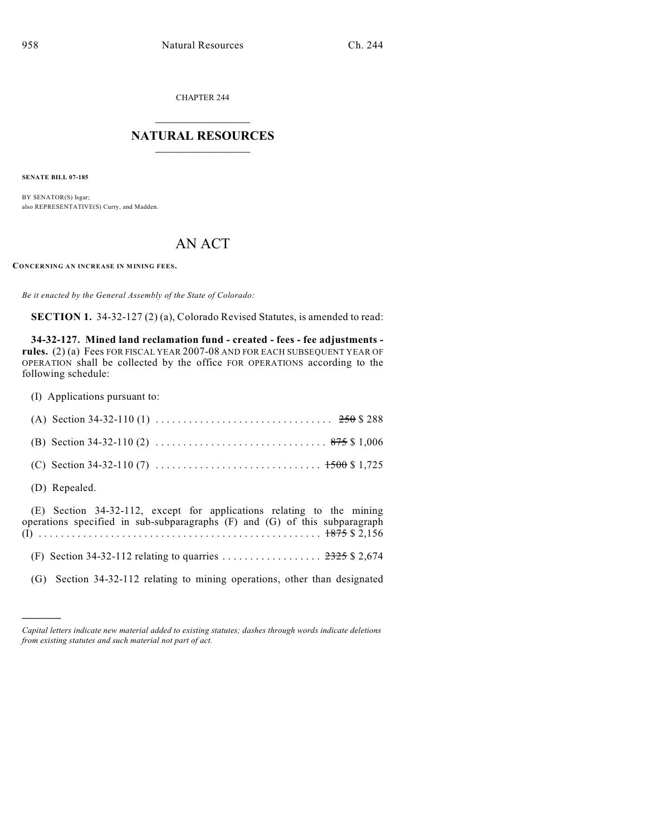CHAPTER 244

## $\overline{\phantom{a}}$  . The set of the set of the set of the set of the set of the set of the set of the set of the set of the set of the set of the set of the set of the set of the set of the set of the set of the set of the set o **NATURAL RESOURCES**  $\frac{1}{\sqrt{2}}$  , where  $\frac{1}{\sqrt{2}}$  ,  $\frac{1}{\sqrt{2}}$  ,  $\frac{1}{\sqrt{2}}$

**SENATE BILL 07-185**

BY SENATOR(S) Isgar; also REPRESENTATIVE(S) Curry, and Madden.

## AN ACT

**CONCERNING AN INCREASE IN MINING FEES.**

*Be it enacted by the General Assembly of the State of Colorado:*

**SECTION 1.** 34-32-127 (2) (a), Colorado Revised Statutes, is amended to read:

**34-32-127. Mined land reclamation fund - created - fees - fee adjustments rules.** (2) (a) Fees FOR FISCAL YEAR 2007-08 AND FOR EACH SUBSEQUENT YEAR OF OPERATION shall be collected by the office FOR OPERATIONS according to the following schedule:

(I) Applications pursuant to:

)))))

| (D) Repealed.                                                                                                                                       |
|-----------------------------------------------------------------------------------------------------------------------------------------------------|
| (E) Section 34-32-112, except for applications relating to the mining<br>operations specified in sub-subparagraphs (F) and (G) of this subparagraph |
|                                                                                                                                                     |
| (G) Section 34-32-112 relating to mining operations, other than designated                                                                          |

*Capital letters indicate new material added to existing statutes; dashes through words indicate deletions from existing statutes and such material not part of act.*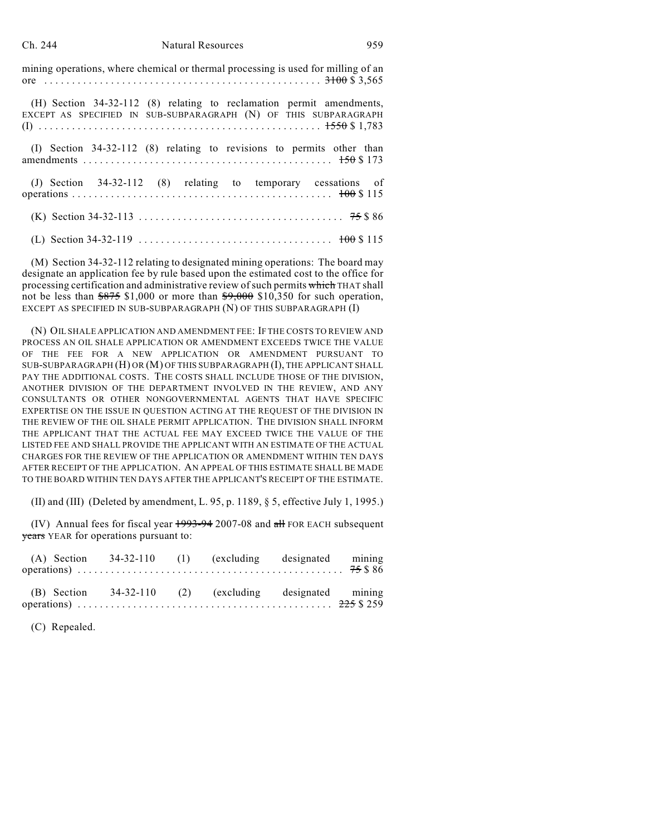## Ch. 244 Natural Resources 959

mining operations, where chemical or thermal processing is used for milling of an ore .... .... .... .... .... .... .... .... .... .... .... .... . . 3100 \$ 3,565

(H) Section 34-32-112 (8) relating to reclamation permit amendments, EXCEPT AS SPECIFIED IN SUB-SUBPARAGRAPH (N) OF THIS SUBPARAGRAPH (I) .... .... .... .... .... .... .... .... .... .... .... .... ... 1550 \$ 1,783

(I) Section 34-32-112 (8) relating to revisions to permits other than amendments .... .... .... .... .... .... .... .... .... .... .... . 150 \$ 173 (J) Section 34-32-112 (8) relating to temporary cessations of operations .... .... .... .... .... .... .... .... .... .... .... ... 100 \$ 115 (K) Section 34-32-113 .... .... .... .... .... .... .... .... .... . 75 \$ 86 (L) Section 34-32-119 .... .... .... .... .... .... .... .... ... 100 \$ 115

(M) Section 34-32-112 relating to designated mining operations: The board may designate an application fee by rule based upon the estimated cost to the office for processing certification and administrative review of such permits which THAT shall not be less than  $\frac{$875}{$1,000}$  or more than  $\frac{$9,000}{$10,350}$  for such operation, EXCEPT AS SPECIFIED IN SUB-SUBPARAGRAPH (N) OF THIS SUBPARAGRAPH (I)

(N) OIL SHALE APPLICATION AND AMENDMENT FEE: IF THE COSTS TO REVIEW AND PROCESS AN OIL SHALE APPLICATION OR AMENDMENT EXCEEDS TWICE THE VALUE OF THE FEE FOR A NEW APPLICATION OR AMENDMENT PURSUANT TO SUB-SUBPARAGRAPH (H) OR (M) OF THIS SUBPARAGRAPH (I), THE APPLICANT SHALL PAY THE ADDITIONAL COSTS. THE COSTS SHALL INCLUDE THOSE OF THE DIVISION, ANOTHER DIVISION OF THE DEPARTMENT INVOLVED IN THE REVIEW, AND ANY CONSULTANTS OR OTHER NONGOVERNMENTAL AGENTS THAT HAVE SPECIFIC EXPERTISE ON THE ISSUE IN QUESTION ACTING AT THE REQUEST OF THE DIVISION IN THE REVIEW OF THE OIL SHALE PERMIT APPLICATION. THE DIVISION SHALL INFORM THE APPLICANT THAT THE ACTUAL FEE MAY EXCEED TWICE THE VALUE OF THE LISTED FEE AND SHALL PROVIDE THE APPLICANT WITH AN ESTIMATE OF THE ACTUAL CHARGES FOR THE REVIEW OF THE APPLICATION OR AMENDMENT WITHIN TEN DAYS AFTER RECEIPT OF THE APPLICATION. AN APPEAL OF THIS ESTIMATE SHALL BE MADE TO THE BOARD WITHIN TEN DAYS AFTER THE APPLICANT'S RECEIPT OF THE ESTIMATE.

(II) and (III) (Deleted by amendment, L. 95, p. 1189, § 5, effective July 1, 1995.)

(IV) Annual fees for fiscal year  $\frac{1993-94}{2007-08}$  and  $\frac{1}{200}$  FOR EACH subsequent years YEAR for operations pursuant to:

|  |  | (A) Section $34-32-110$ (1) (excluding designated mining |  |
|--|--|----------------------------------------------------------|--|
|  |  |                                                          |  |
|  |  | (B) Section 34-32-110 (2) (excluding designated mining   |  |
|  |  |                                                          |  |

(C) Repealed.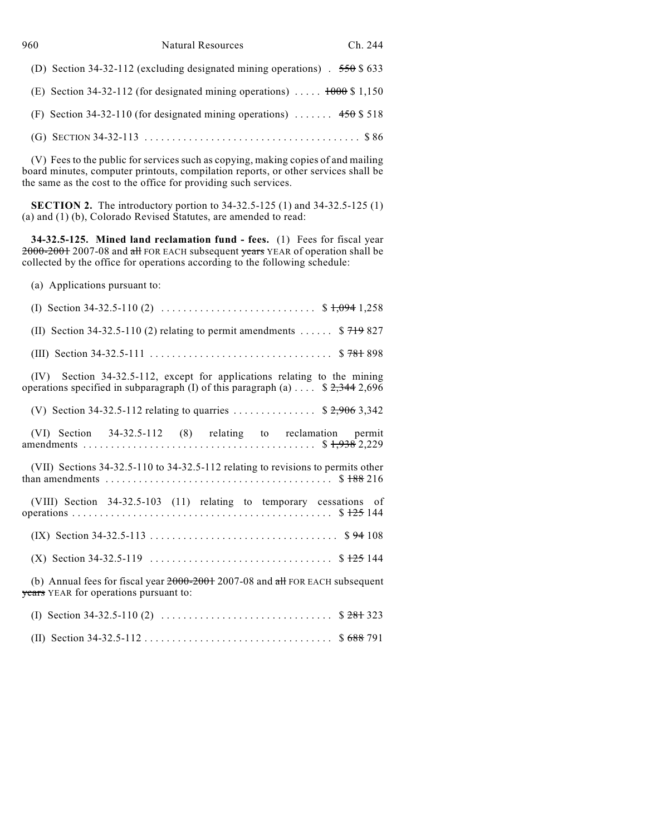| 960 | <b>Natural Resources</b><br>Ch. 244                                         |
|-----|-----------------------------------------------------------------------------|
|     | (D) Section 34-32-112 (excluding designated mining operations) $.550$ \$633 |
|     | (E) Section 34-32-112 (for designated mining operations) $1000$ \$ 1,150    |
|     | (F) Section 34-32-110 (for designated mining operations) $450$ \$ 518       |
|     |                                                                             |

(V) Fees to the public for services such as copying, making copies of and mailing board minutes, computer printouts, compilation reports, or other services shall be the same as the cost to the office for providing such services.

**SECTION 2.** The introductory portion to 34-32.5-125 (1) and 34-32.5-125 (1) (a) and (1) (b), Colorado Revised Statutes, are amended to read:

**34-32.5-125. Mined land reclamation fund - fees.** (1) Fees for fiscal year <del>2000-2001</del> 2007-08 and <del>all</del> FOR EACH subsequent <del>years</del> YEAR of operation shall be collected by the office for operations according to the following schedule:

(a) Applications pursuant to:

| (IV) Section 34-32.5-112, except for applications relating to the mining<br>operations specified in subparagraph (I) of this paragraph (a) $\ldots$ \$ 2,344 2,696                       |
|------------------------------------------------------------------------------------------------------------------------------------------------------------------------------------------|
| (V) Section 34-32.5-112 relating to quarries  \$ 2,906 3,342                                                                                                                             |
| (VI) Section 34-32.5-112 (8) relating to reclamation permit                                                                                                                              |
| (VII) Sections 34-32.5-110 to 34-32.5-112 relating to revisions to permits other<br>than amendments $\dots \dots \dots \dots \dots \dots \dots \dots \dots \dots \dots \dots$ \$ 188 216 |
| (VIII) Section 34-32.5-103 (11) relating to temporary cessations of                                                                                                                      |
|                                                                                                                                                                                          |
|                                                                                                                                                                                          |
| (b) Annual fees for fiscal year 2000-2001 2007-08 and all FOR EACH subsequent<br>years YEAR for operations pursuant to:                                                                  |